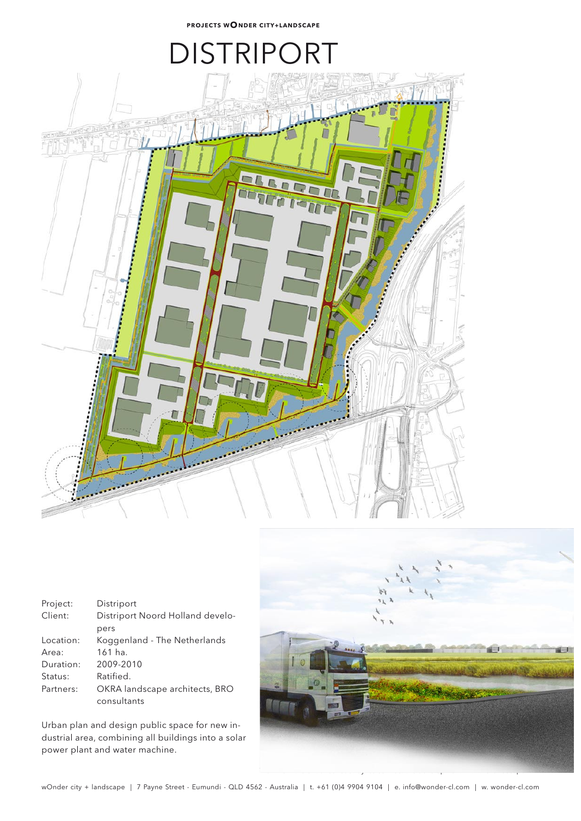## **DISTRIPC**



| Project:  | Distriport                       |
|-----------|----------------------------------|
| Client:   | Distriport Noord Holland develo- |
|           | pers                             |
| Location: | Koggenland - The Netherlands     |
| Area:     | $161$ ha.                        |
| Duration: | 2009-2010                        |
| Status:   | Ratified.                        |
| Partners: | OKRA landscape architects, BRO   |
|           | consultants                      |

Urban plan and design public space for new industrial area, combining all buildings into a solar power plant and water machine.